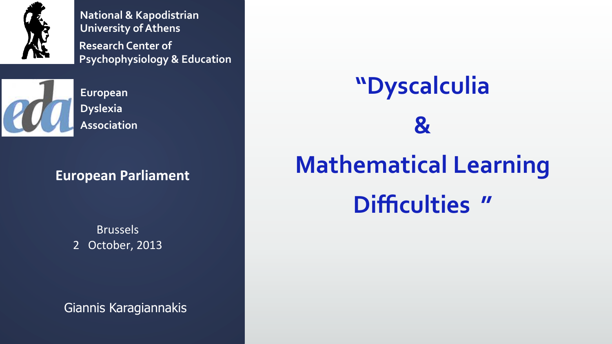

**Research Center of Psychophysiology & Education National & Kapodistrian University of Athens** 



**European Dyslexia Association** 

#### **European Parliament**

Brussels 2 October, 2013

Giannis Karagiannakis

# **"Dyscalculia & Mathematical Learning Difficulties "**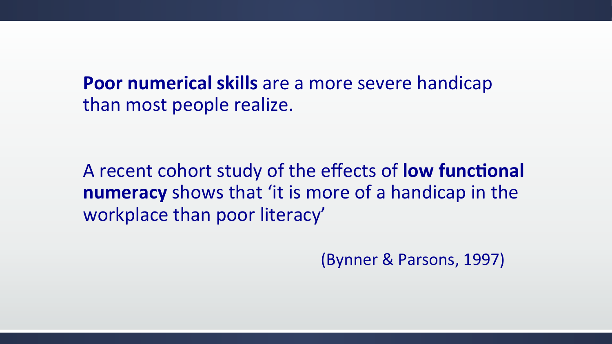**Poor numerical skills** are a more severe handicap than most people realize.

A recent cohort study of the effects of **low functional numeracy** shows that 'it is more of a handicap in the workplace than poor literacy'

(Bynner & Parsons, 1997)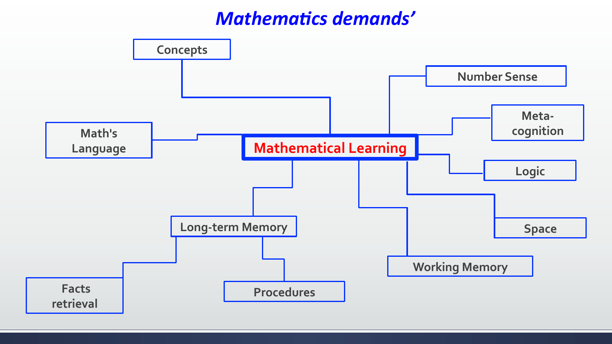### **Mathematics demands'**

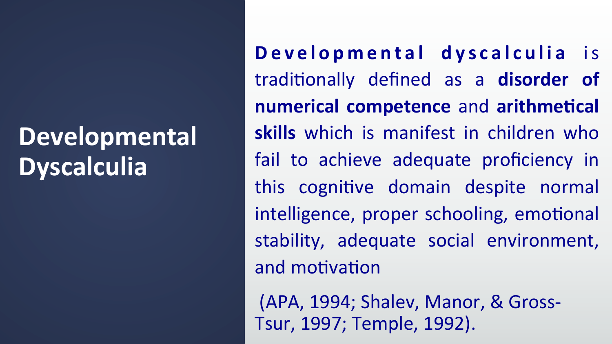### Developmental **Dyscalculia**

Developmental dyscalculia is traditionally defined as a disorder of **numerical competence and arithmetical skills** which is manifest in children who fail to achieve adequate proficiency in this cognitive domain despite normal intelligence, proper schooling, emotional stability, adequate social environment, and motivation

(APA, 1994; Shalev, Manor, & Gross-Tsur, 1997; Temple, 1992).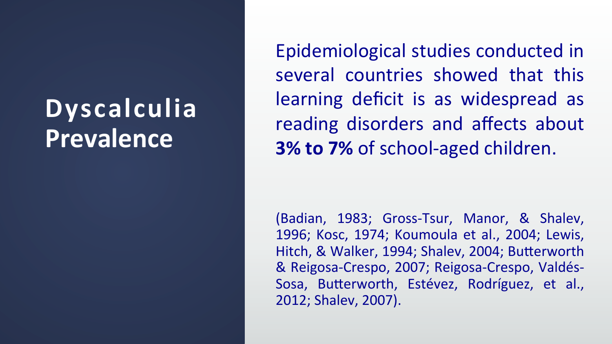## **Dyscalculia Prevalence**

Epidemiological studies conducted in several countries showed that this learning deficit is as widespread as reading disorders and affects about **3% to 7%** of school-aged children.

(Badian, 1983; Gross-Tsur, Manor, & Shalev, 1996; Kosc, 1974; Koumoula et al., 2004; Lewis, Hitch, & Walker, 1994; Shalev, 2004; Butterworth & Reigosa-Crespo, 2007; Reigosa-Crespo, Valdés-Sosa, Butterworth, Estévez, Rodríguez, et al., 2012; Shalev, 2007).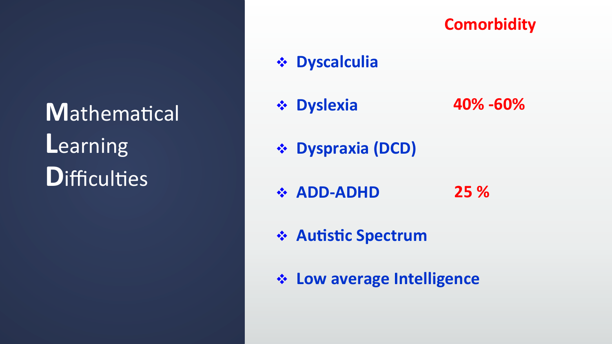Mathematical Learning **D**ifficulties

#### **Comorbidity**

#### **\* Dyscalculia**

- **\* Dyslexia** 40% -60%
- **Expending (DCD)**
- ❖ ADD-ADHD 25 %
- ❖ Autistic Spectrum
- ❖ Low average Intelligence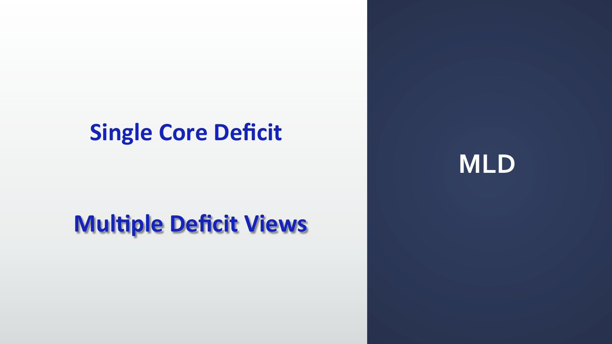### **Single Core Deficit**

### **Multiple Deficit Views**

**MLD**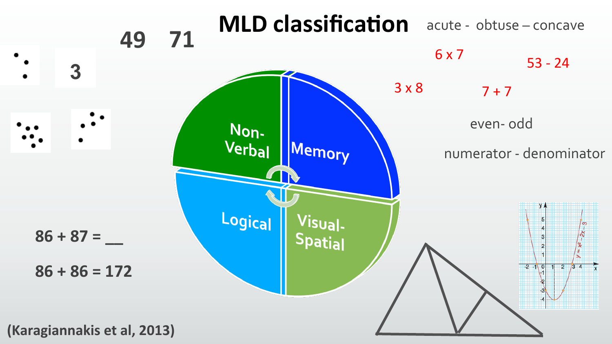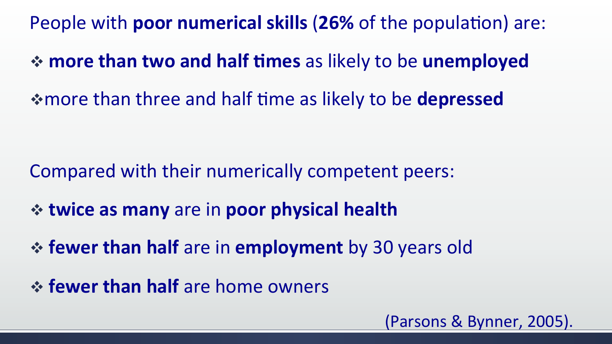**People with poor numerical skills (26% of the population) are:** 

 $\div$  more than two and half times as likely to be unemployed

\* more than three and half time as likely to be **depressed** 

Compared with their numerically competent peers:

- $\div$  **twice as many** are in **poor physical health**
- $\div$  **fewer than half** are in **employment** by 30 years old
- *<b>☆ fewer than half* are home owners

(Parsons & Bynner, 2005).